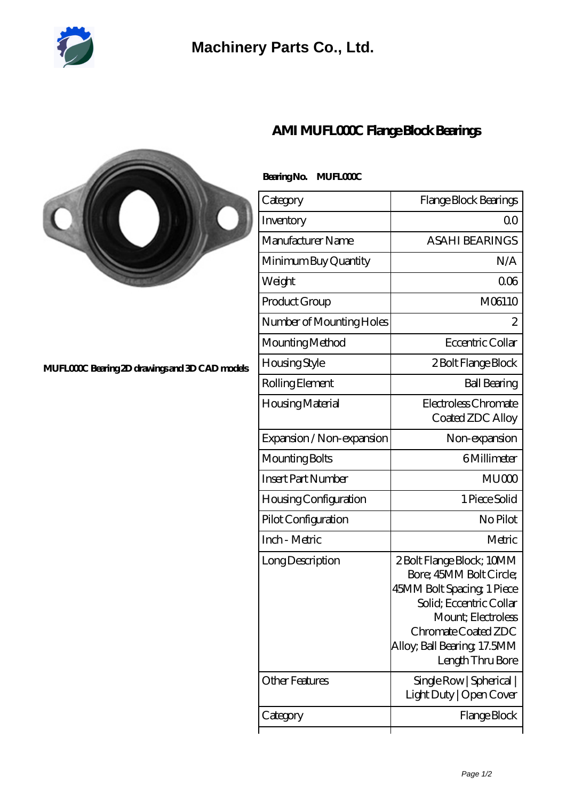

## **[Machinery Parts Co., Ltd.](https://m.diours.com)**



## **[MUFL000C Bearing 2D drawings and 3D CAD models](https://m.diours.com/pic-379798.html)**

| Category                  | Flange Block Bearings                                                                                                                                                                                         |
|---------------------------|---------------------------------------------------------------------------------------------------------------------------------------------------------------------------------------------------------------|
| Inventory                 | 0 <sup>0</sup>                                                                                                                                                                                                |
| Manufacturer Name         | <b>ASAHI BEARINGS</b>                                                                                                                                                                                         |
| Minimum Buy Quantity      | N/A                                                                                                                                                                                                           |
| Weight                    | 006                                                                                                                                                                                                           |
| Product Group             | M06110                                                                                                                                                                                                        |
| Number of Mounting Holes  | $\overline{2}$                                                                                                                                                                                                |
| Mounting Method           | Eccentric Collar                                                                                                                                                                                              |
| Housing Style             | 2 Bolt Flange Block                                                                                                                                                                                           |
| Rolling Element           | <b>Ball Bearing</b>                                                                                                                                                                                           |
| Housing Material          | Electroless Chromate<br>Coated ZDC Alloy                                                                                                                                                                      |
| Expansion / Non-expansion | Non-expansion                                                                                                                                                                                                 |
| Mounting Bolts            | 6Millimeter                                                                                                                                                                                                   |
| <b>Insert Part Number</b> | MU <sub>000</sub>                                                                                                                                                                                             |
| Housing Configuration     | 1 Piece Solid                                                                                                                                                                                                 |
| Pilot Configuration       | No Pilot                                                                                                                                                                                                      |
| Inch - Metric             | Metric                                                                                                                                                                                                        |
| Long Description          | 2 Bolt Flange Block; 10MM<br>Bore; 45MM Bolt Circle;<br>45MM Bolt Spacing, 1 Piece<br>Solid; Eccentric Collar<br>Mount: Electroless<br>Chromate Coated ZDC<br>Alloy, Ball Bearing, 17.5MM<br>Length Thru Bore |
| Other Features            | Single Row   Spherical  <br>Light Duty   Open Cover                                                                                                                                                           |
| Category                  | Flange Block                                                                                                                                                                                                  |
|                           |                                                                                                                                                                                                               |

## **[AMI MUFL000C Flange Block Bearings](https://m.diours.com/ami-mufl000c-bearing/)**